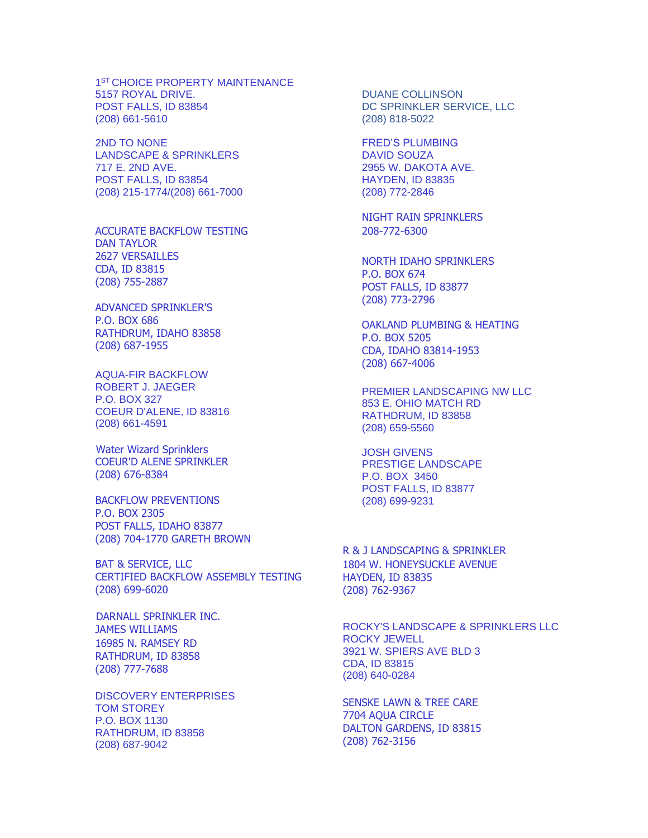1 ST CHOICE PROPERTY MAINTENANCE 5157 ROYAL DRIVE. POST FALLS, ID 83854 (208) 661-5610

2ND TO NONE LANDSCAPE & SPRINKLERS 717 E. 2ND AVE. POST FALLS, ID 83854 (208) 215-1774/(208) 661-7000

ACCURATE BACKFLOW TESTING DAN TAYLOR 2627 VERSAILLES CDA, ID 83815 (208) 755-2887

ADVANCED SPRINKLER'S P.O. BOX 686 RATHDRUM, IDAHO 83858 (208) 687-1955

AQUA-FIR BACKFLOW ROBERT J. JAEGER P.O. BOX 327 COEUR D'ALENE, ID 83816 (208) 661-4591

 Water Wizard Sprinklers COEUR'D ALENE SPRINKLER (208) 676-8384

BACKFLOW PREVENTIONS P.O. BOX 2305 POST FALLS, IDAHO 83877 (208) 704-1770 GARETH BROWN

BAT & SERVICE, LLC CERTIFIED BACKFLOW ASSEMBLY TESTING (208) 699-6020

 DARNALL SPRINKLER INC. JAMES WILLIAMS 16985 N. RAMSEY RD RATHDRUM, ID 83858 (208) 777-7688

DISCOVERY ENTERPRISES TOM STOREY P.O. BOX 1130 RATHDRUM, ID 83858 (208) 687-9042

DUANE COLLINSON DC SPRINKLER SERVICE, LLC (208) 818-5022

FRED'S PLUMBING DAVID SOUZA 2955 W. DAKOTA AVE. HAYDEN, ID 83835 (208) 772-2846

NIGHT RAIN SPRINKLERS 208-772-6300

NORTH IDAHO SPRINKLERS P.O. BOX 674 POST FALLS, ID 83877 (208) 773-2796

OAKLAND PLUMBING & HEATING P.O. BOX 5205 CDA, IDAHO 83814-1953 (208) 667-4006

PREMIER LANDSCAPING NW LLC 853 E. OHIO MATCH RD RATHDRUM, ID 83858 (208) 659-5560

JOSH GIVENS PRESTIGE LANDSCAPE P.O. BOX 3450 POST FALLS, ID 83877 (208) 699-9231

R & J LANDSCAPING & SPRINKLER 1804 W. HONEYSUCKLE AVENUE HAYDEN, ID 83835 (208) 762-9367

ROCKY'S LANDSCAPE & SPRINKLERS LLC ROCKY JEWELL 3921 W. SPIERS AVE BLD 3 CDA, ID 83815 (208) 640-0284

SENSKE LAWN & TREE CARE 7704 AQUA CIRCLE DALTON GARDENS, ID 83815 (208) 762-3156